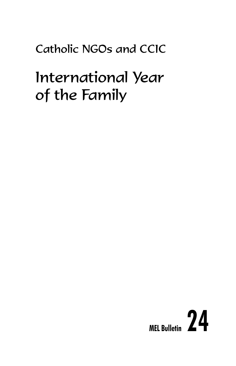### Catholic NGOs and CCIC

## International Year of the Family

# **MEL Bulletin 24**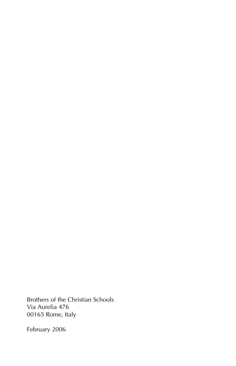Brothers of the Christian Schools Via Aurelia 476 00165 Rome, Italy

February 2006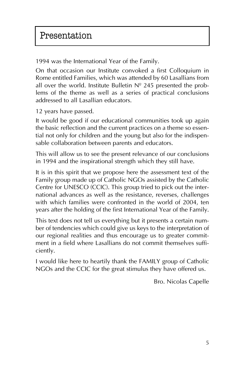1994 was the International Year of the Family.

On that occasion our Institute convoked a first Colloquium in Rome entitled Families, which was attended by 60 Lasallians from all over the world. Institute Bulletin  $N<sup>°</sup>$  245 presented the problems of the theme as well as a series of practical conclusions addressed to all Lasallian educators.

12 years have passed.

It would be good if our educational communities took up again the basic reflection and the current practices on a theme so essential not only for children and the young but also for the indispensable collaboration between parents and educators.

This will allow us to see the present relevance of our conclusions in 1994 and the inspirational strength which they still have.

It is in this spirit that we propose here the assessment text of the Family group made up of Catholic NGOs assisted by the Catholic Centre for UNESCO (CCIC). This group tried to pick out the international advances as well as the resistance, reverses, challenges with which families were confronted in the world of 2004, ten years after the holding of the first International Year of the Family.

This text does not tell us everything but it presents a certain number of tendencies which could give us keys to the interpretation of our regional realities and thus encourage us to greater commitment in a field where Lasallians do not commit themselves sufficiently.

I would like here to heartily thank the FAMILY group of Catholic NGOs and the CCIC for the great stimulus they have offered us.

Bro. Nicolas Capelle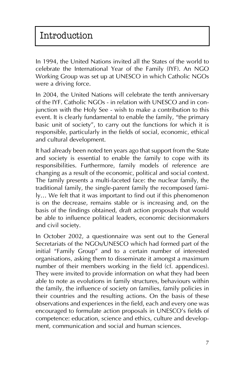In 1994, the United Nations invited all the States of the world to celebrate the International Year of the Family (IYF). An NGO Working Group was set up at UNESCO in which Catholic NGOs were a driving force.

In 2004, the United Nations will celebrate the tenth anniversary of the IYF. Catholic NGOs - in relation with UNESCO and in conjunction with the Holy See - wish to make a contribution to this event. It is clearly fundamental to enable the family, "the primary basic unit of society", to carry out the functions for which it is responsible, particularly in the fields of social, economic, ethical and cultural development.

It had already been noted ten years ago that support from the State and society is essential to enable the family to cope with its responsibilities. Furthermore, family models of reference are changing as a result of the economic, political and social context. The family presents a multi-faceted face: the nuclear family, the traditional family, the single-parent family the recomposed family... We felt that it was important to find out if this phenomenon is on the decrease, remains stable or is increasing and, on the basis of the findings obtained, draft action proposals that would be able to influence political leaders, economic decisionmakers and civil society.

In October 2002, a questionnaire was sent out to the General Secretariats of the NGOs/UNESCO which had formed part of the initial "Family Group" and to a certain number of interested organisations, asking them to disseminate it amongst a maximum number of their members working in the field (cf. appendices). They were invited to provide information on what they had been able to note as evolutions in family structures, behaviours within the family, the influence of society on families, family policies in their countries and the resulting actions. On the basis of these observations and experiences in the field, each and every one was encouraged to formulate action proposals in UNESCO's fields of competence: education, science and ethics, culture and development, communication and social and human sciences.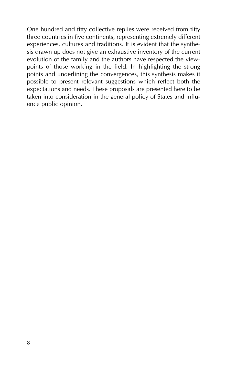One hundred and fifty collective replies were received from fifty three countries in five continents, representing extremely different experiences, cultures and traditions. It is evident that the synthesis drawn up does not give an exhaustive inventory of the current evolution of the family and the authors have respected the viewpoints of those working in the field. In highlighting the strong points and underlining the convergences, this synthesis makes it possible to present relevant suggestions which reflect both the expectations and needs. These proposals are presented here to be taken into consideration in the general policy of States and influence public opinion.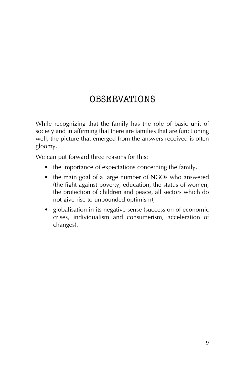### **OBSERVATIONS**

While recognizing that the family has the role of basic unit of society and in affirming that there are families that are functioning well, the picture that emerged from the answers received is often gloomy.

We can put forward three reasons for this:

- $\bullet$  the importance of expectations concerning the family,
- the main goal of a large number of NGOs who answered (the fight against poverty, education, the status of women, the protection of children and peace, all sectors which do not give rise to unbounded optimism),
- globalisation in its negative sense (succession of economic crises, individualism and consumerism, acceleration of changes).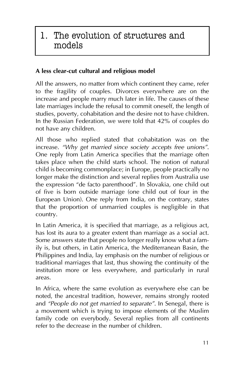### 1. The evolution of structures and models

### **A less clear-cut cultural and religious model**

All the answers, no matter from which continent they came, refer to the fragility of couples. Divorces everywhere are on the increase and people marry much later in life. The causes of these late marriages include the refusal to commit oneself, the length of studies, poverty, cohabitation and the desire not to have children. In the Russian Federation, we were told that 42% of couples do not have any children.

All those who replied stated that cohabitation was on the increase. "Why get married since society accepts free unions". One reply from Latin America specifies that the marriage often takes place when the child starts school. The notion of natural child is becoming commonplace; in Europe, people practically no longer make the distinction and several replies from Australia use the expression "de facto parenthood". In Slovakia, one child out of five is born outside marriage (one child out of four in the European Union). One reply from India, on the contrary, states that the proportion of unmarried couples is negligible in that country.

In Latin America, it is specified that marriage, as a religious act, has lost its aura to a greater extent than marriage as a social act. Some answers state that people no longer really know what a family is, but others, in Latin America, the Mediterranean Basin, the Philippines and India, lay emphasis on the number of religious or traditional marriages that last, thus showing the continuity of the institution more or less everywhere, and particularly in rural areas.

In Africa, where the same evolution as everywhere else can be noted, the ancestral tradition, however, remains strongly rooted and *"People do not get married to separate"*. In Senegal, there is a movement which is trying to impose elements of the Muslim family code on everybody. Several replies from all continents refer to the decrease in the number of children.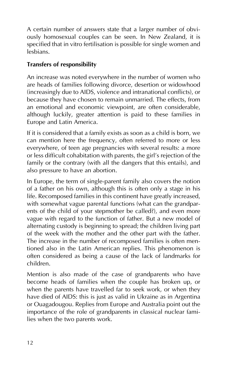A certain number of answers state that a larger number of obviously homosexual couples can be seen. In New Zealand, it is specified that in vitro fertilisation is possible for single women and lesbians.

### **Transfers of responsibility**

An increase was noted everywhere in the number of women who are heads of families following divorce, desertion or widowhood (increasingly due to AIDS, violence and intranational conflicts), or because they have chosen to remain unmarried. The effects, from an emotional and economic viewpoint, are often considerable, although luckily, greater attention is paid to these families in Europe and Latin America.

If it is considered that a family exists as soon as a child is born, we can mention here the frequency, often referred to more or less everywhere, of teen age pregnancies with several results: a more or less difficult cohabitation with parents, the girl's rejection of the family or the contrary (with all the dangers that this entails), and also pressure to have an abortion.

In Europe, the term of single-parent family also covers the notion of a father on his own, although this is often only a stage in his life. Recomposed families in this continent have greatly increased, with somewhat vague parental functions (what can the grandparents of the child of your stepmother be called?), and even more vague with regard to the function of father. But a new model of alternating custody is beginning to spread; the children living part of the week with the mother and the other part with the father. The increase in the number of recomposed families is often mentioned also in the Latin American replies. This phenomenon is often considered as being a cause of the lack of landmarks for children.

Mention is also made of the case of grandparents who have become heads of families when the couple has broken up, or when the parents have travelled far to seek work, or when they have died of AIDS: this is just as valid in Ukraine as in Argentina or Ouagadougou. Replies from Europe and Australia point out the importance of the role of grandparents in classical nuclear families when the two parents work.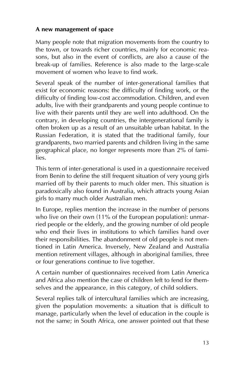#### **A new management of space**

Many people note that migration movements from the country to the town, or towards richer countries, mainly for economic reasons, but also in the event of conflicts, are also a cause of the break-up of families. Reference is also made to the large-scale movement of women who leave to find work.

Several speak of the number of inter-generational families that exist for economic reasons: the difficulty of finding work, or the difficulty of finding low-cost accommodation. Children, and even adults, live with their grandparents and young people continue to live with their parents until they are well into adulthood. On the contrary, in developing countries, the intergenerational family is often broken up as a result of an unsuitable urban habitat. In the Russian Federation, it is stated that the traditional family, four grandparents, two married parents and children living in the same geographical place, no longer represents more than 2% of families.

This term of inter-generational is used in a questionnaire received from Benin to define the still frequent situation of very young girls married off by their parents to much older men. This situation is paradoxically also found in Australia, which attracts young Asian girls to marry much older Australian men.

In Europe, replies mention the increase in the number of persons who live on their own (11% of the European population): unmarried people or the elderly, and the growing number of old people who end their lives in institutions to which families hand over their responsibilities. The abandonment of old people is not mentioned in Latin America. Inversely, New Zealand and Australia mention retirement villages, although in aboriginal families, three or four generations continue to live together.

A certain number of questionnaires received from Latin America and Africa also mention the case of children left to fend for themselves and the appearance, in this category, of child soldiers.

Several replies talk of intercultural families which are increasing, given the population movements: a situation that is difficult to manage, particularly when the level of education in the couple is not the same; in South Africa, one answer pointed out that these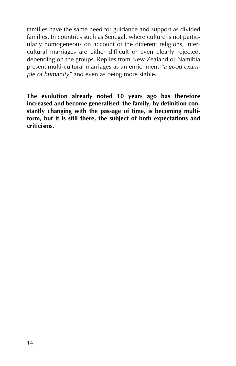families have the same need for guidance and support as divided families. In countries such as Senegal, where culture is not particularly homogeneous on account of the different religions, intercultural marriages are either difficult or even clearly rejected, depending on the groups. Replies from New Zealand or Namibia present multi-cultural marriages as an enrichment *ìa good example of humanityî* and even as being more stable.

**The evolution already noted 10 years ago has therefore increased and become generalised: the family, by definition constantly changing with the passage of time, is becoming multiform, but it is still there, the subject of both expectations and criticisms.**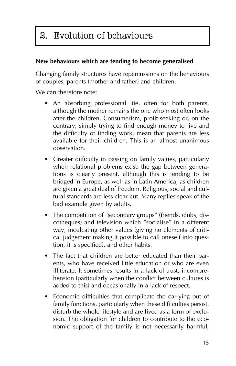### 2. Evolution of behaviours

### **New behaviours which are tending to become generalised**

Changing family structures have repercussions on the behaviours of couples, parents (mother and father) and children.

We can therefore note:

- An absorbing professional life, often for both parents, although the mother remains the one who most often looks after the children. Consumerism, profit-seeking or, on the contrary, simply trying to find enough money to live and the difficulty of finding work, mean that parents are less available for their children. This is an almost unanimous observation.
- Greater difficulty in passing on family values, particularly when relational problems exist: the gap between generations is clearly present, although this is tending to be bridged in Europe, as well as in Latin America, as children are given a great deal of freedom. Religious, social and cultural standards are less clear-cut. Many replies speak of the bad example given by adults.
- The competition of "secondary groups" (friends, clubs, discotheques) and television which "socialise" in a different way, inculcating other values (giving no elements of critical judgement making it possible to call oneself into question, it is specified), and other habits.
- The fact that children are better educated than their parents, who have received little education or who are even illiterate. It sometimes results in a lack of trust, incomprehension (particularly when the conflict between cultures is added to this) and occasionally in a lack of respect.
- Economic difficulties that complicate the carrying out of family functions, particularly when these difficulties persist, disturb the whole lifestyle and are lived as a form of exclusion. The obligation for children to contribute to the economic support of the family is not necessarily harmful,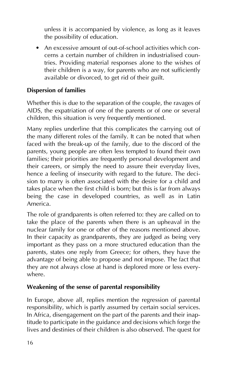unless it is accompanied by violence, as long as it leaves the possibility of education.

 $\bullet$  An excessive amount of out-of-school activities which concerns a certain number of children in industrialised countries. Providing material responses alone to the wishes of their children is a way, for parents who are not sufficiently available or divorced, to get rid of their guilt.

### **Dispersion of families**

Whether this is due to the separation of the couple, the ravages of AIDS, the expatriation of one of the parents or of one or several children, this situation is very frequently mentioned.

Many replies underline that this complicates the carrying out of the many different roles of the family. It can be noted that when faced with the break-up of the family, due to the discord of the parents, young people are often less tempted to found their own families; their priorities are frequently personal development and their careers, or simply the need to assure their everyday lives, hence a feeling of insecurity with regard to the future. The decision to marry is often associated with the desire for a child and takes place when the first child is born; but this is far from always being the case in developed countries, as well as in Latin America.

The role of grandparents is often referred to: they are called on to take the place of the parents when there is an upheaval in the nuclear family for one or other of the reasons mentioned above. In their capacity as grandparents, they are judged as being very important as they pass on a more structured education than the parents, states one reply from Greece; for others, they have the advantage of being able to propose and not impose. The fact that they are not always close at hand is deplored more or less everywhere.

#### **Weakening of the sense of parental responsibility**

In Europe, above all, replies mention the regression of parental responsibility, which is partly assumed by certain social services. In Africa, disengagement on the part of the parents and their inaptitude to participate in the guidance and decisions which forge the lives and destinies of their children is also observed. The quest for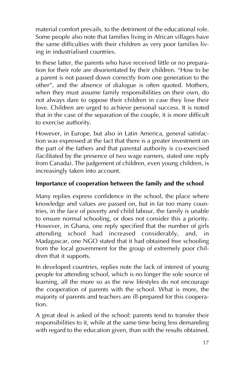material comfort prevails, to the detriment of the educational role. Some people also note that families living in African villages have the same difficulties with their children as very poor families living in industrialised countries.

In these latter, the parents who have received little or no preparation for their role are disorientated by their children. "How to be a parent is not passed down correctly from one generation to the other", and the absence of dialogue is often quoted. Mothers, when they must assume family responsibilities on their own, do not always dare to oppose their children in case they lose their love. Children are urged to achieve personal success. It is noted that in the case of the separation of the couple, it is more difficult to exercise authority.

However, in Europe, but also in Latin America, general satisfaction was expressed at the fact that there is a greater investment on the part of the fathers and that parental authority is co-exercised (facilitated by the presence of two wage earners, stated one reply from Canada). The judgement of children, even young children, is increasingly taken into account.

### **Importance of cooperation between the family and the school**

Many replies express confidence in the school, the place where knowledge and values are passed on, but in far too many countries, in the face of poverty and child labour, the family is unable to ensure normal schooling, or does not consider this a priority. However, in Ghana, one reply specified that the number of girls attending school had increased considerably, and, in Madagascar, one NGO stated that it had obtained free schooling from the local government for the group of extremely poor children that it supports.

In developed countries, replies note the lack of interest of young people for attending school, which is no longer the sole source of learning, all the more so as the new lifestyles do not encourage the cooperation of parents with the school. What is more, the majority of parents and teachers are ill-prepared for this cooperation.

A great deal is asked of the school: parents tend to transfer their responsibilities to it, while at the same time being less demanding with regard to the education given, than with the results obtained.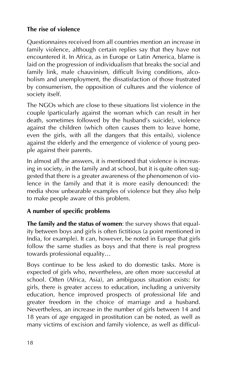### **The rise of violence**

Questionnaires received from all countries mention an increase in family violence, although certain replies say that they have not encountered it. In Africa, as in Europe or Latin America, blame is laid on the progression of individualism that breaks the social and family link, male chauvinism, difficult living conditions, alcoholism and unemployment, the dissatisfaction of those frustrated by consumerism, the opposition of cultures and the violence of society itself.

The NGOs which are close to these situations list violence in the couple (particularly against the woman which can result in her death, sometimes followed by the husband's suicide), violence against the children (which often causes them to leave home, even the girls, with all the dangers that this entails), violence against the elderly and the emergence of violence of young people against their parents.

In almost all the answers, it is mentioned that violence is increasing in society, in the family and at school, but it is quite often suggested that there is a greater awareness of the phenomenon of violence in the family and that it is more easily denounced: the media show unbearable examples of violence but they also help to make people aware of this problem.

### **A number of specific problems**

**The family and the status of women**: the survey shows that equality between boys and girls is often fictitious (a point mentioned in India, for example). It can, however, be noted in Europe that girls follow the same studies as boys and that there is real progress towards professional equality...

Boys continue to be less asked to do domestic tasks. More is expected of girls who, nevertheless, are often more successful at school. Often (Africa, Asia), an ambiguous situation exists: for girls, there is greater access to education, including a university education, hence improved prospects of professional life and greater freedom in the choice of marriage and a husband. Nevertheless, an increase in the number of girls between 14 and 18 years of age engaged in prostitution can be noted, as well as many victims of excision and family violence, as well as difficul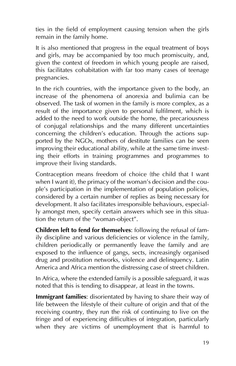ties in the field of employment causing tension when the girls remain in the family home.

It is also mentioned that progress in the equal treatment of boys and girls, may be accompanied by too much promiscuity, and, given the context of freedom in which young people are raised, this facilitates cohabitation with far too many cases of teenage pregnancies.

In the rich countries, with the importance given to the body, an increase of the phenomena of anorexia and bulimia can be observed. The task of women in the family is more complex, as a result of the importance given to personal fulfilment, which is added to the need to work outside the home, the precariousness of conjugal relationships and the many different uncertainties concerning the children's education. Through the actions supported by the NGOs, mothers of destitute families can be seen improving their educational ability, while at the same time investing their efforts in training programmes and programmes to improve their living standards.

Contraception means freedom of choice (the child that I want when I want it), the primacy of the woman's decision and the couple's participation in the implementation of population policies, considered by a certain number of replies as being necessary for development. It also facilitates irresponsible behaviours, especially amongst men, specify certain answers which see in this situation the return of the "woman-object".

**Children left to fend for themselves**: following the refusal of family discipline and various deficiencies or violence in the family, children periodically or permanently leave the family and are exposed to the influence of gangs, sects, increasingly organised drug and prostitution networks, violence and delinquency. Latin America and Africa mention the distressing case of street children.

In Africa, where the extended family is a possible safeguard, it was noted that this is tending to disappear, at least in the towns.

**Immigrant families**: disorientated by having to share their way of life between the lifestyle of their culture of origin and that of the receiving country, they run the risk of continuing to live on the fringe and of experiencing difficulties of integration, particularly when they are victims of unemployment that is harmful to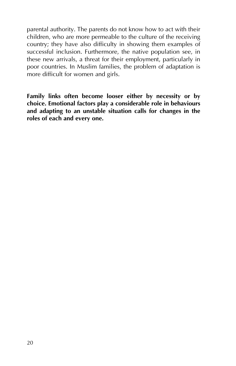parental authority. The parents do not know how to act with their children, who are more permeable to the culture of the receiving country; they have also difficulty in showing them examples of successful inclusion. Furthermore, the native population see, in these new arrivals, a threat for their employment, particularly in poor countries. In Muslim families, the problem of adaptation is more difficult for women and girls.

**Family links often become looser either by necessity or by choice. Emotional factors play a considerable role in behaviours and adapting to an unstable situation calls for changes in the roles of each and every one.**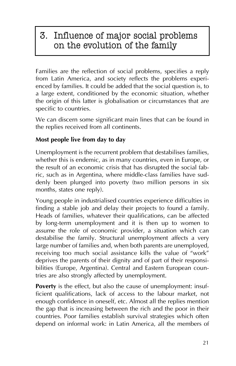### 3. Influence of major social problems on the evolution of the family

Families are the reflection of social problems, specifies a reply from Latin America, and society reflects the problems experienced by families. It could be added that the social question is, to a large extent, conditioned by the economic situation, whether the origin of this latter is globalisation or circumstances that are specific to countries.

We can discern some significant main lines that can be found in the replies received from all continents.

### **Most people live from day to day**

Unemployment is the recurrent problem that destabilises families, whether this is endemic, as in many countries, even in Europe, or the result of an economic crisis that has disrupted the social fabric, such as in Argentina, where middle-class families have suddenly been plunged into poverty (two million persons in six months, states one reply).

Young people in industrialised countries experience difficulties in finding a stable job and delay their projects to found a family. Heads of families, whatever their qualifications, can be affected by long-term unemployment and it is then up to women to assume the role of economic provider, a situation which can destabilise the family. Structural unemployment affects a very large number of families and, when both parents are unemployed, receiving too much social assistance kills the value of "work" deprives the parents of their dignity and of part of their responsibilities (Europe, Argentina). Central and Eastern European countries are also strongly affected by unemployment.

**Poverty** is the effect, but also the cause of unemployment: insufficient qualifications, lack of access to the labour market, not enough confidence in oneself, etc. Almost all the replies mention the gap that is increasing between the rich and the poor in their countries. Poor families establish survival strategies which often depend on informal work: in Latin America, all the members of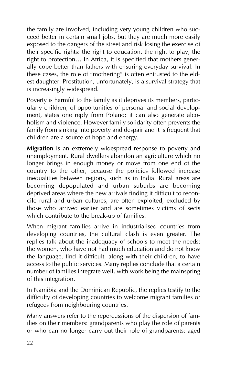the family are involved, including very young children who succeed better in certain small jobs, but they are much more easily exposed to the dangers of the street and risk losing the exercise of their specific rights: the right to education, the right to play, the right to protection... In Africa, it is specified that mothers generally cope better than fathers with ensuring everyday survival. In these cases, the role of "mothering" is often entrusted to the eldest daughter. Prostitution, unfortunately, is a survival strategy that is increasingly widespread.

Poverty is harmful to the family as it deprives its members, particularly children, of opportunities of personal and social development, states one reply from Poland; it can also generate alcoholism and violence. However family solidarity often prevents the family from sinking into poverty and despair and it is frequent that children are a source of hope and energy.

**Migration** is an extremely widespread response to poverty and unemployment. Rural dwellers abandon an agriculture which no longer brings in enough money or move from one end of the country to the other, because the policies followed increase inequalities between regions, such as in India. Rural areas are becoming depopulated and urban suburbs are becoming deprived areas where the new arrivals finding it difficult to reconcile rural and urban cultures, are often exploited, excluded by those who arrived earlier and are sometimes victims of sects which contribute to the break-up of families.

When migrant families arrive in industrialised countries from developing countries, the cultural clash is even greater. The replies talk about the inadequacy of schools to meet the needs; the women, who have not had much education and do not know the language, find it difficult, along with their children, to have access to the public services. Many replies conclude that a certain number of families integrate well, with work being the mainspring of this integration.

In Namibia and the Dominican Republic, the replies testify to the difficulty of developing countries to welcome migrant families or refugees from neighbouring countries.

Many answers refer to the repercussions of the dispersion of families on their members: grandparents who play the role of parents or who can no longer carry out their role of grandparents; aged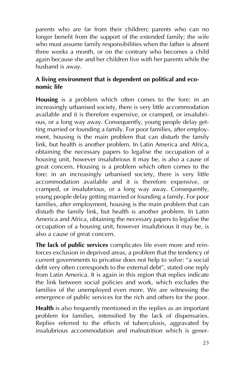parents who are far from their children; parents who can no longer benefit from the support of the extended family; the wife who must assume family responsibilities when the father is absent three weeks a month, or on the contrary who becomes a child again because she and her children live with her parents while the husband is away.

### **A living environment that is dependent on political and economic life**

**Housing** is a problem which often comes to the fore: in an increasingly urbanised society, there is very little accommodation available and it is therefore expensive, or cramped, or insalubrious, or a long way away. Consequently, young people delay getting married or founding a family. For poor families, after employment, housing is the main problem that can disturb the family link, but health is another problem. In Latin America and Africa, obtaining the necessary papers to legalise the occupation of a housing unit, however insalubrious it may be, is also a cause of great concern. Housing is a problem which often comes to the fore: in an increasingly urbanised society, there is very little accommodation available and it is therefore expensive, or cramped, or insalubrious, or a long way away. Consequently, young people delay getting married or founding a family. For poor families, after employment, housing is the main problem that can disturb the family link, but health is another problem. In Latin America and Africa, obtaining the necessary papers to legalise the occupation of a housing unit, however insalubrious it may be, is also a cause of great concern.

**The lack of public services** complicates life even more and reinforces exclusion in deprived areas, a problem that the tendency of current governments to privatise does not help to solve: "a social debt very often corresponds to the external debt", stated one reply from Latin America. It is again in this region that replies indicate the link between social policies and work, which excludes the families of the unemployed even more. We are witnessing the emergence of public services for the rich and others for the poor.

**Health** is also frequently mentioned in the replies as an important problem for families, intensified by the lack of dispensaries. Replies referred to the effects of tuberculosis, aggravated by insalubrious accommodation and malnutrition which is gener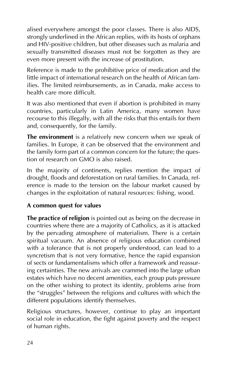alised everywhere amongst the poor classes. There is also AIDS, strongly underlined in the African replies, with its hosts of orphans and HIV-positive children, but other diseases such as malaria and sexually transmitted diseases must not be forgotten as they are even more present with the increase of prostitution.

Reference is made to the prohibitive price of medication and the little impact of international research on the health of African families. The limited reimbursements, as in Canada, make access to health care more difficult.

It was also mentioned that even if abortion is prohibited in many countries, particularly in Latin America, many women have recourse to this illegally, with all the risks that this entails for them and, consequently, for the family.

**The environment** is a relatively new concern when we speak of families. In Europe, it can be observed that the environment and the family form part of a common concern for the future; the question of research on GMO is also raised.

In the majority of continents, replies mention the impact of drought, floods and deforestation on rural families. In Canada, reference is made to the tension on the labour market caused by changes in the exploitation of natural resources: fishing, wood.

#### **A common quest for values**

**The practice of religion** is pointed out as being on the decrease in countries where there are a majority of Catholics, as it is attacked by the pervading atmosphere of materialism. There is a certain spiritual vacuum. An absence of religious education combined with a tolerance that is not properly understood, can lead to a syncretism that is not very formative, hence the rapid expansion of sects or fundamentalisms which offer a framework and reassuring certainties. The new arrivals are crammed into the large urban estates which have no decent amenities, each group puts pressure on the other wishing to protect its identity, problems arise from the "struggles" between the religions and cultures with which the different populations identify themselves.

Religious structures, however, continue to play an important social role in education, the fight against poverty and the respect of human rights.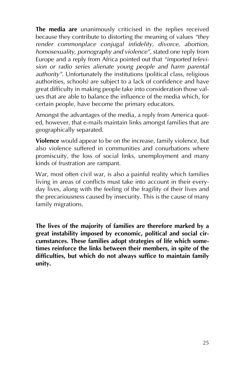**The media are** unanimously criticised in the replies received because they contribute to distorting the meaning of values "they *render commonplace conjugal infidelity, divorce, abortion, homosexuality, pornography and violenceî*, stated one reply from Europe and a reply from Africa pointed out that "*imported television or radio series alienate young people and harm parental authorityî*. Unfortunately the institutions (political class, religious authorities, schools) are subject to a lack of confidence and have great difficulty in making people take into consideration those values that are able to balance the influence of the media which, for certain people, have become the primary educators.

Amongst the advantages of the media, a reply from America quoted, however, that e-mails maintain links amongst families that are geographically separated.

**Violence** would appear to be on the increase, family violence, but also violence suffered in communities and conurbations where promiscuity, the loss of social links, unemployment and many kinds of frustration are rampant.

War, most often civil war, is also a painful reality which families living in areas of conflicts must take into account in their everyday lives, along with the feeling of the fragility of their lives and the precariousness caused by insecurity. This is the cause of many family migrations.

**The lives of the majority of families are therefore marked by a great instability imposed by economic, political and social circumstances. These families adopt strategies of life which sometimes reinforce the links between their members, in spite of the difficulties, but which do not always suffice to maintain family unity.**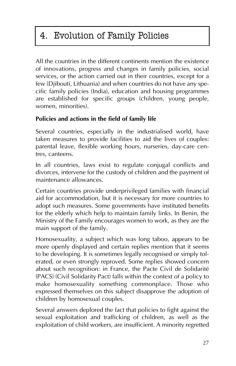### 4. Evolution of Family Policies

All the countries in the different continents mention the existence of innovations, progress and changes in family policies, social services, or the action carried out in their countries, except for a few (Djibouti, Lithuania) and when countries do not have any specific family policies (India), education and housing programmes are established for specific groups (children, young people, women, minorities).

### **Policies and actions in the field of family life**

Several countries, especially in the industrialised world, have taken measures to provide facilities to aid the lives of couples: parental leave, flexible working hours, nurseries, day-care centres, canteens.

In all countries, laws exist to regulate conjugal conflicts and divorces, intervene for the custody of children and the payment of maintenance allowances.

Certain countries provide underprivileged families with financial aid for accommodation, but it is necessary for more countries to adopt such measures. Some governments have instituted benefits for the elderly which help to maintain family links. In Benin, the Ministry of the Family encourages women to work, as they are the main support of the family.

Homosexuality, a subject which was long taboo, appears to be more openly displayed and certain replies mention that it seems to be developing. It is sometimes legally recognised or simply tolerated, or even strongly reproved. Some replies showed concern about such recognition: in France, the Pacte Civil de Solidarité (PACS) (Civil Solidarity Pact) falls within the context of a policy to make homosexuality something commonplace. Those who expressed themselves on this subject disapprove the adoption of children by homosexual couples.

Several answers deplored the fact that policies to fight against the sexual exploitation and trafficking of children, as well as the exploitation of child workers, are insufficient. A minority regretted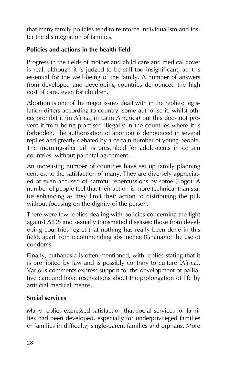that many family policies tend to reinforce individualism and foster the disintegration of families.

### **Policies and actions in the health field**

Progress in the fields of mother and child care and medical cover is real, although it is judged to be still too insignificant, as it is essential for the well-being of the family. A number of answers from developed and developing countries denounced the high cost of care, even for children.

Abortion is one of the major issues dealt with in the replies; legislation differs according to country, some authorise it, whilst others prohibit it (in Africa, in Latin America) but this does not prevent it from being practised illegally in the countries where it is forbidden. The authorisation of abortion is denounced in several replies and greatly debated by a certain number of young people. The morning-after pill is prescribed for adolescents in certain countries, without parental agreement.

An increasing number of countries have set up family planning centres, to the satisfaction of many. They are diversely appreciated or even accused of harmful repercussions by some (Togo). A number of people feel that their action is more technical than status-enhancing as they limit their action to distributing the pill, without focusing on the dignity of the person.

There were few replies dealing with policies concerning the fight against AIDS and sexually transmitted diseases; those from developing countries regret that nothing has really been done in this field, apart from recommending abstinence (Ghana) or the use of condoms.

Finally, euthanasia is often mentioned, with replies stating that it is prohibited by law and is possibly contrary to culture (Africa). Various comments express support for the development of palliative care and have reservations about the prolongation of life by artificial medical means.

### **Social services**

Many replies expressed satisfaction that social services for families had been developed, especially for underprivileged families or families in difficulty, single-parent families and orphans. More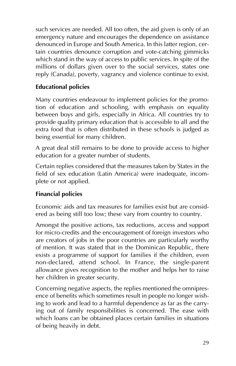such services are needed. All too often, the aid given is only of an emergency nature and encourages the dependence on assistance denounced in Europe and South America. In this latter region, certain countries denounce corruption and vote-catching gimmicks which stand in the way of access to public services. In spite of the millions of dollars given over to the social services, states one reply (Canada), poverty, vagrancy and violence continue to exist.

### **Educational policies**

Many countries endeavour to implement policies for the promotion of education and schooling, with emphasis on equality between boys and girls, especially in Africa. All countries try to provide quality primary education that is accessible to all and the extra food that is often distributed in these schools is judged as being essential for many children.

A great deal still remains to be done to provide access to higher education for a greater number of students.

Certain replies considered that the measures taken by States in the field of sex education (Latin America) were inadequate, incomplete or not applied.

### **Financial policies**

Economic aids and tax measures for families exist but are considered as being still too low; these vary from country to country.

Amongst the positive actions, tax reductions, access and support for micro-credits and the encouragement of foreign investors who are creators of jobs in the poor countries are particularly worthy of mention. It was stated that in the Dominican Republic, there exists a programme of support for families if the children, even non-declared, attend school. In France, the single-parent allowance gives recognition to the mother and helps her to raise her children in greater security.

Concerning negative aspects, the replies mentioned the omnipresence of benefits which sometimes result in people no longer wishing to work and lead to a harmful dependence as far as the carrying out of family responsibilities is concerned. The ease with which loans can be obtained places certain families in situations of being heavily in debt.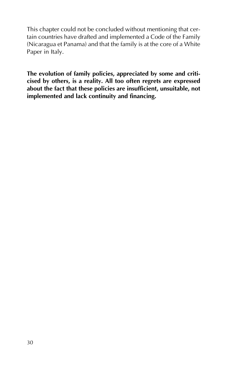This chapter could not be concluded without mentioning that certain countries have drafted and implemented a Code of the Family (Nicaragua et Panama) and that the family is at the core of a White Paper in Italy.

**The evolution of family policies, appreciated by some and criticised by others, is a reality. All too often regrets are expressed about the fact that these policies are insufficient, unsuitable, not implemented and lack continuity and financing.**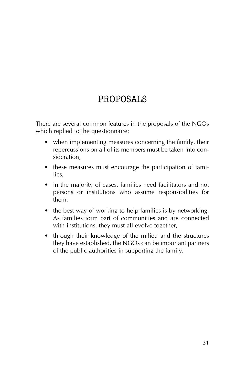### PROPOSALS

There are several common features in the proposals of the NGOs which replied to the questionnaire:

- when implementing measures concerning the family, their repercussions on all of its members must be taken into consideration,
- these measures must encourage the participation of families,
- in the majority of cases, families need facilitators and not persons or institutions who assume responsibilities for them,
- the best way of working to help families is by networking. As families form part of communities and are connected with institutions, they must all evolve together,
- through their knowledge of the milieu and the structures they have established, the NGOs can be important partners of the public authorities in supporting the family.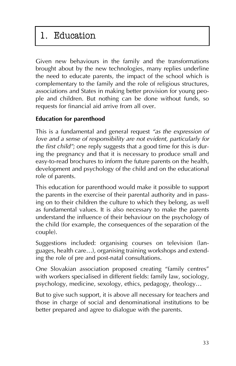### 1. Education

Given new behaviours in the family and the transformations brought about by the new technologies, many replies underline the need to educate parents, the impact of the school which is complementary to the family and the role of religious structures, associations and States in making better provision for young people and children. But nothing can be done without funds, so requests for financial aid arrive from all over.

### **Education for parenthood**

This is a fundamental and general request *ìas the expression of love and a sense of responsibility are not evident, particularly for the first child"*; one reply suggests that a good time for this is during the pregnancy and that it is necessary to produce small and easy-to-read brochures to inform the future parents on the health, development and psychology of the child and on the educational role of parents.

This education for parenthood would make it possible to support the parents in the exercise of their parental authority and in passing on to their children the culture to which they belong, as well as fundamental values. It is also necessary to make the parents understand the influence of their behaviour on the psychology of the child (for example, the consequences of the separation of the couple).

Suggestions included: organising courses on television (languages, health care...), organising training workshops and extending the role of pre and post-natal consultations.

One Slovakian association proposed creating "family centres" with workers specialised in different fields: family law, sociology, psychology, medicine, sexology, ethics, pedagogy, theology...

But to give such support, it is above all necessary for teachers and those in charge of social and denominational institutions to be better prepared and agree to dialogue with the parents.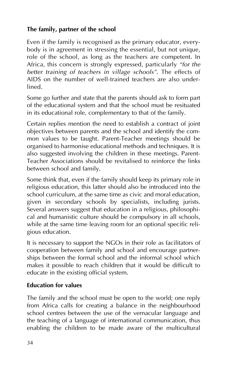### **The family, partner of the school**

Even if the family is recognised as the primary educator, everybody is in agreement in stressing the essential, but not unique, role of the school, as long as the teachers are competent. In Africa, this concern is strongly expressed, particularly "for the *better training of teachers in village schools*". The effects of AIDS on the number of well-trained teachers are also underlined.

Some go further and state that the parents should ask to form part of the educational system and that the school must be resituated in its educational role, complementary to that of the family.

Certain replies mention the need to establish a contract of joint objectives between parents and the school and identify the common values to be taught. Parent-Teacher meetings should be organised to harmonise educational methods and techniques. It is also suggested involving the children in these meetings. Parent-Teacher Associations should be revitalised to reinforce the links between school and family.

Some think that, even if the family should keep its primary role in religious education, this latter should also be introduced into the school curriculum, at the same time as civic and moral education, given in secondary schools by specialists, including jurists. Several answers suggest that education in a religious, philosophical and humanistic culture should be compulsory in all schools, while at the same time leaving room for an optional specific religious education.

It is necessary to support the NGOs in their role as facilitators of cooperation between family and school and encourage partnerships between the formal school and the informal school which makes it possible to reach children that it would be difficult to educate in the existing official system.

#### **Education for values**

The family and the school must be open to the world; one reply from Africa calls for creating a balance in the neighbourhood school centres between the use of the vernacular language and the teaching of a language of international communication, thus enabling the children to be made aware of the multicultural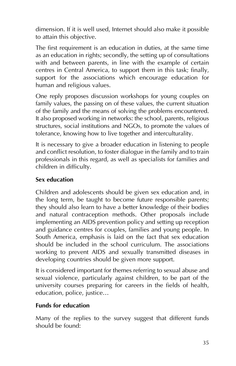dimension. If it is well used, Internet should also make it possible to attain this objective.

The first requirement is an education in duties, at the same time as an education in rights; secondly, the setting up of consultations with and between parents, in line with the example of certain centres in Central America, to support them in this task; finally, support for the associations which encourage education for human and religious values.

One reply proposes discussion workshops for young couples on family values, the passing on of these values, the current situation of the family and the means of solving the problems encountered. It also proposed working in networks: the school, parents, religious structures, social institutions and NGOs, to promote the values of tolerance, knowing how to live together and interculturality.

It is necessary to give a broader education in listening to people and conflict resolution, to foster dialogue in the family and to train professionals in this regard, as well as specialists for families and children in difficulty.

### **Sex education**

Children and adolescents should be given sex education and, in the long term, be taught to become future responsible parents; they should also learn to have a better knowledge of their bodies and natural contraception methods. Other proposals include implementing an AIDS prevention policy and setting up reception and guidance centres for couples, families and young people. In South America, emphasis is laid on the fact that sex education should be included in the school curriculum. The associations working to prevent AIDS and sexually transmitted diseases in developing countries should be given more support.

It is considered important for themes referring to sexual abuse and sexual violence, particularly against children, to be part of the university courses preparing for careers in the fields of health, education, police, justice...

#### **Funds for education**

Many of the replies to the survey suggest that different funds should be found: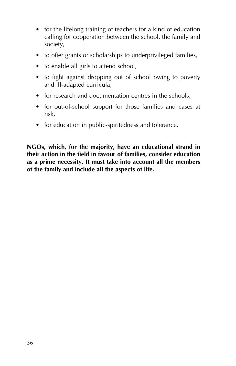- for the lifelong training of teachers for a kind of education calling for cooperation between the school, the family and society,
- to offer grants or scholarships to underprivileged families,
- to enable all girls to attend school,
- to fight against dropping out of school owing to poverty and ill-adapted curricula,
- for research and documentation centres in the schools,
- for out-of-school support for those families and cases at risk,
- for education in public-spiritedness and tolerance.

**NGOs, which, for the majority, have an educational strand in their action in the field in favour of families, consider education as a prime necessity. It must take into account all the members of the family and include all the aspects of life.**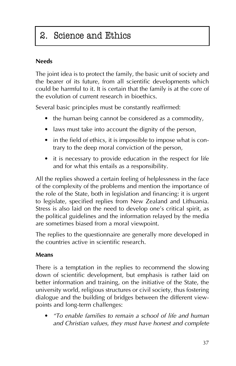### 2. Science and Ethics

### **Needs**

The joint idea is to protect the family, the basic unit of society and the bearer of its future, from all scientific developments which could be harmful to it. It is certain that the family is at the core of the evolution of current research in bioethics.

Several basic principles must be constantly reaffirmed:

- the human being cannot be considered as a commodity,
- laws must take into account the dignity of the person,
- in the field of ethics, it is impossible to impose what is contrary to the deep moral conviction of the person,
- it is necessary to provide education in the respect for life and for what this entails as a responsibility.

All the replies showed a certain feeling of helplessness in the face of the complexity of the problems and mention the importance of the role of the State, both in legislation and financing: it is urgent to legislate, specified replies from New Zealand and Lithuania. Stress is also laid on the need to develop one's critical spirit, as the political guidelines and the information relayed by the media are sometimes biased from a moral viewpoint.

The replies to the questionnaire are generally more developed in the countries active in scientific research.

### **Means**

There is a temptation in the replies to recommend the slowing down of scientific development, but emphasis is rather laid on better information and training, on the initiative of the State, the university world, religious structures or civil society, thus fostering dialogue and the building of bridges between the different viewpoints and long-term challenges:

ï *ìTo enable families to remain a school of life and human and Christian values, they must have honest and complete*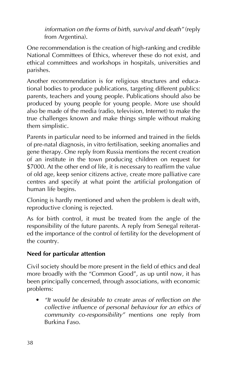*information on the forms of birth, survival and death*<sup>*"*</sup> (reply from Argentina).

One recommendation is the creation of high-ranking and credible National Committees of Ethics, wherever these do not exist, and ethical committees and workshops in hospitals, universities and parishes.

Another recommendation is for religious structures and educational bodies to produce publications, targeting different publics: parents, teachers and young people. Publications should also be produced by young people for young people. More use should also be made of the media (radio, television, Internet) to make the true challenges known and make things simple without making them simplistic.

Parents in particular need to be informed and trained in the fields of pre-natal diagnosis, in vitro fertilisation, seeking anomalies and gene therapy. One reply from Russia mentions the recent creation of an institute in the town producing children on request for \$7000. At the other end of life, it is necessary to reaffirm the value of old age, keep senior citizens active, create more palliative care centres and specify at what point the artificial prolongation of human life begins.

Cloning is hardly mentioned and when the problem is dealt with, reproductive cloning is rejected.

As for birth control, it must be treated from the angle of the responsibility of the future parents. A reply from Senegal reiterated the importance of the control of fertility for the development of the country.

### **Need for particular attention**

Civil society should be more present in the field of ethics and deal more broadly with the "Common Good", as up until now, it has been principally concerned, through associations, with economic problems:

• *"It would be desirable to create areas of reflection on the collective influence of personal behaviour for an ethics of community co-responsibilityî* mentions one reply from Burkina Faso.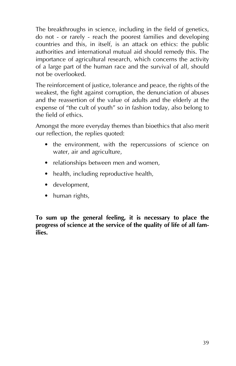The breakthroughs in science, including in the field of genetics, do not - or rarely - reach the poorest families and developing countries and this, in itself, is an attack on ethics: the public authorities and international mutual aid should remedy this. The importance of agricultural research, which concerns the activity of a large part of the human race and the survival of all, should not be overlooked.

The reinforcement of justice, tolerance and peace, the rights of the weakest, the fight against corruption, the denunciation of abuses and the reassertion of the value of adults and the elderly at the expense of "the cult of youth" so in fashion today, also belong to the field of ethics.

Amongst the more everyday themes than bioethics that also merit our reflection, the replies quoted:

- the environment, with the repercussions of science on water, air and agriculture,
- relationships between men and women,
- health, including reproductive health,
- development,
- $\bullet$  human rights,

**To sum up the general feeling, it is necessary to place the progress of science at the service of the quality of life of all families.**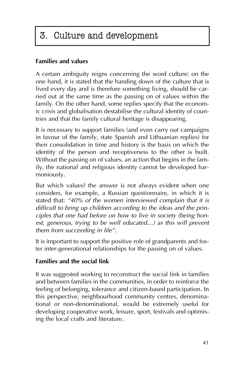### 3. Culture and development

### **Families and values**

A certain ambiguity reigns concerning the word culture: on the one hand, it is stated that the handing down of the culture that is lived every day and is therefore something living, should be carried out at the same time as the passing on of values within the family. On the other hand, some replies specify that the economic crisis and globalisation destabilise the cultural identity of countries and that the family cultural heritage is disappearing.

It is necessary to support families (and even carry out campaigns in favour of the family, state Spanish and Lithuanian replies) for their consolidation in time and history is the basis on which the identity of the person and receptiveness to the other is built. Without the passing on of values, an action that begins in the family, the national and religious identity cannot be developed harmoniously.

But which values? the answer is not always evident when one considers, for example, a Russian questionnaire, in which it is stated that: *ì40% of the women interviewed complain that it is difficult to bring up children according to the ideas and the principles that one had before on how to live in society (being hon*est, generous, trying to be well educated...) as this will prevent *them from succeeding in lifeî*.

It is important to support the positive role of grandparents and foster inter-generational relationships for the passing on of values.

#### **Families and the social link**

It was suggested working to reconstruct the social link in families and between families in the communities, in order to reinforce the feeling of belonging, tolerance and citizen-based participation. In this perspective, neighbourhood community centres, denominational or non-denominational, would be extremely useful for developing cooperative work, leisure, sport, festivals and optimising the local crafts and literature.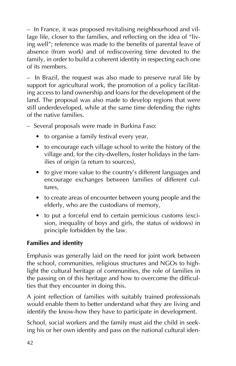– In France, it was proposed revitalising neighbourhood and village life, closer to the families, and reflecting on the idea of "living well": reference was made to the benefits of parental leave of absence (from work) and of rediscovering time devoted to the family, in order to build a coherent identity in respecting each one of its members.

 $-$  In Brazil, the request was also made to preserve rural life by support for agricultural work, the promotion of a policy facilitating access to land ownership and loans for the development of the land. The proposal was also made to develop regions that were still underdeveloped, while at the same time defending the rights of the native families.

- Several proposals were made in Burkina Faso:
	- to organise a family festival every year,
	- to encourage each village school to write the history of the village and, for the city-dwellers, foster holidays in the families of origin (a return to sources),
	- to give more value to the country's different languages and encourage exchanges between families of different cultures,
	- to create areas of encounter between young people and the elderly, who are the custodians of memory,
	- to put a forceful end to certain pernicious customs (excision, inequality of boys and girls, the status of widows) in principle forbidden by the law.

### **Families and identity**

Emphasis was generally laid on the need for joint work between the school, communities, religious structures and NGOs to highlight the cultural heritage of communities, the role of families in the passing on of this heritage and how to overcome the difficulties that they encounter in doing this.

A joint reflection of families with suitably trained professionals would enable them to better understand what they are living and identify the know-how they have to participate in development.

School, social workers and the family must aid the child in seeking his or her own identity and pass on the national cultural iden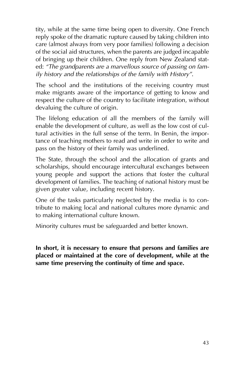tity, while at the same time being open to diversity. One French reply spoke of the dramatic rupture caused by taking children into care (almost always from very poor families) following a decision of the social aid structures, when the parents are judged incapable of bringing up their children. One reply from New Zealand stated: "The grandparents are a marvellous source of passing on fam*ily history and the relationships of the family with Historyî*.

The school and the institutions of the receiving country must make migrants aware of the importance of getting to know and respect the culture of the country to facilitate integration, without devaluing the culture of origin.

The lifelong education of all the members of the family will enable the development of culture, as well as the low cost of cultural activities in the full sense of the term. In Benin, the importance of teaching mothers to read and write in order to write and pass on the history of their family was underlined.

The State, through the school and the allocation of grants and scholarships, should encourage intercultural exchanges between young people and support the actions that foster the cultural development of families. The teaching of national history must be given greater value, including recent history.

One of the tasks particularly neglected by the media is to contribute to making local and national cultures more dynamic and to making international culture known.

Minority cultures must be safeguarded and better known.

**In short, it is necessary to ensure that persons and families are placed or maintained at the core of development, while at the same time preserving the continuity of time and space.**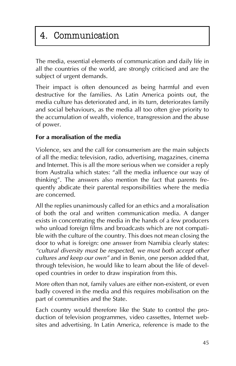### 4. Communication

The media, essential elements of communication and daily life in all the countries of the world, are strongly criticised and are the subject of urgent demands.

Their impact is often denounced as being harmful and even destructive for the families. As Latin America points out, the media culture has deteriorated and, in its turn, deteriorates family and social behaviours, as the media all too often give priority to the accumulation of wealth, violence, transgression and the abuse of power.

### **For a moralisation of the media**

Violence, sex and the call for consumerism are the main subjects of all the media: television, radio, advertising, magazines, cinema and Internet. This is all the more serious when we consider a reply from Australia which states: "all the media influence our way of thinking". The answers also mention the fact that parents frequently abdicate their parental responsibilities where the media are concerned.

All the replies unanimously called for an ethics and a moralisation of both the oral and written communication media. A danger exists in concentrating the media in the hands of a few producers who unload foreign films and broadcasts which are not compatible with the culture of the country. This does not mean closing the door to what is foreign: one answer from Namibia clearly states: *ìcultural diversity must be respected, we must both accept other cultures and keep our own*" and in Benin, one person added that, through television, he would like to learn about the life of developed countries in order to draw inspiration from this.

More often than not, family values are either non-existent, or even badly covered in the media and this requires mobilisation on the part of communities and the State.

Each country would therefore like the State to control the production of television programmes, video cassettes, Internet websites and advertising. In Latin America, reference is made to the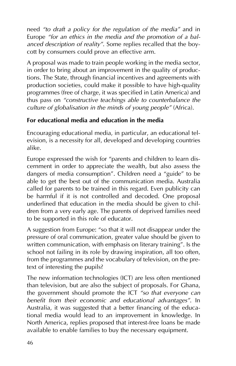need "to draft a policy for the regulation of the media" and in Europe "for an ethics in the media and the promotion of a bal*anced description of realityî*. Some replies recalled that the boycott by consumers could prove an effective arm.

A proposal was made to train people working in the media sector, in order to bring about an improvement in the quality of productions. The State, through financial incentives and agreements with production societies, could make it possible to have high-quality programmes (free of charge, it was specified in Latin America) and thus pass on *"constructive teachings able to counterbalance the culture of globalisation in the minds of young people*<sup>*''*</sup> (Africa).

### **For educational media and education in the media**

Encouraging educational media, in particular, an educational television, is a necessity for all, developed and developing countries alike.

Europe expressed the wish for "parents and children to learn discernment in order to appreciate the wealth, but also assess the dangers of media consumption". Children need a "guide" to be able to get the best out of the communication media. Australia called for parents to be trained in this regard. Even publicity can be harmful if it is not controlled and decoded. One proposal underlined that education in the media should be given to children from a very early age. The parents of deprived families need to be supported in this role of educator.

A suggestion from Europe: "so that it will not disappear under the pressure of oral communication, greater value should be given to written communication, with emphasis on literary training". Is the school not failing in its role by drawing inspiration, all too often, from the programmes and the vocabulary of television, on the pretext of interesting the pupils?

The new information technologies (ICT) are less often mentioned than television, but are also the subject of proposals. For Ghana, the government should promote the ICT *ìso that everyone can* benefit from their economic and educational advantages<sup>"</sup>. In Australia, it was suggested that a better financing of the educational media would lead to an improvement in knowledge. In North America, replies proposed that interest-free loans be made available to enable families to buy the necessary equipment.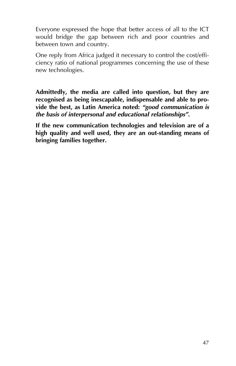Everyone expressed the hope that better access of all to the ICT would bridge the gap between rich and poor countries and between town and country.

One reply from Africa judged it necessary to control the cost/efficiency ratio of national programmes concerning the use of these new technologies.

**Admittedly, the media are called into question, but they are recognised as being inescapable, indispensable and able to provide the best, as Latin America noted:** *ìgood communication is the basis of interpersonal and educational relationshipsî***.**

**If the new communication technologies and television are of a high quality and well used, they are an out-standing means of bringing families together.**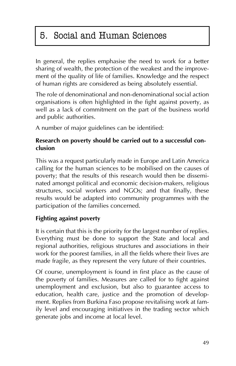### 5. Social and Human Sciences

In general, the replies emphasise the need to work for a better sharing of wealth, the protection of the weakest and the improvement of the quality of life of families. Knowledge and the respect of human rights are considered as being absolutely essential.

The role of denominational and non-denominational social action organisations is often highlighted in the fight against poverty, as well as a lack of commitment on the part of the business world and public authorities.

A number of major guidelines can be identified:

### **Research on poverty should be carried out to a successful conclusion**

This was a request particularly made in Europe and Latin America calling for the human sciences to be mobilised on the causes of poverty; that the results of this research would then be disseminated amongst political and economic decision-makers, religious structures, social workers and NGOs; and that finally, these results would be adapted into community programmes with the participation of the families concerned.

### **Fighting against poverty**

It is certain that this is the priority for the largest number of replies. Everything must be done to support the State and local and regional authorities, religious structures and associations in their work for the poorest families, in all the fields where their lives are made fragile, as they represent the very future of their countries.

Of course, unemployment is found in first place as the cause of the poverty of families. Measures are called for to fight against unemployment and exclusion, but also to guarantee access to education, health care, justice and the promotion of development. Replies from Burkina Faso propose revitalising work at family level and encouraging initiatives in the trading sector which generate jobs and income at local level.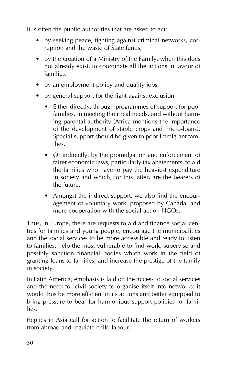It is often the public authorities that are asked to act:

- by seeking peace, fighting against criminal networks, corruption and the waste of State funds,
- $\bullet$  by the creation of a Ministry of the Family, when this does not already exist, to coordinate all the actions in favour of families,
- $\bullet$  by an employment policy and quality jobs,
- by general support for the fight against exclusion:
	- Either directly, through programmes of support for poor families, in meeting their real needs, and without harming parental authority (Africa mentions the importance of the development of staple crops and micro-loans). Special support should be given to poor immigrant families.
	- Or indirectly, by the promulgation and enforcement of fairer economic laws, particularly tax abatements, to aid the families who have to pay the heaviest expenditure in society and which, for this latter, are the bearers of the future.
	- Amongst the indirect support, we also find the encouragement of voluntary work, proposed by Canada, and more cooperation with the social action NGOs.

Thus, in Europe, there are requests to aid and finance social centres for families and young people, encourage the municipalities and the social services to be more accessible and ready to listen to families, help the most vulnerable to find work, supervise and possibly sanction financial bodies which work in the field of granting loans to families, and increase the prestige of the family in society.

In Latin America, emphasis is laid on the access to social services and the need for civil society to organise itself into networks: it would thus be more efficient in its actions and better equipped to bring pressure to bear for harmonious support policies for families.

Replies in Asia call for action to facilitate the return of workers from abroad and regulate child labour.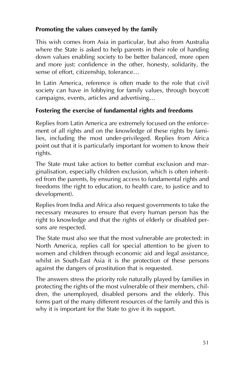### **Promoting the values conveyed by the family**

This wish comes from Asia in particular, but also from Australia where the State is asked to help parents in their role of handing down values enabling society to be better balanced, more open and more just: confidence in the other, honesty, solidarity, the sense of effort, citizenship, tolerance...

In Latin America, reference is often made to the role that civil society can have in lobbying for family values, through boycott campaigns, events, articles and advertising...

### **Fostering the exercise of fundamental rights and freedoms**

Replies from Latin America are extremely focused on the enforcement of all rights and on the knowledge of these rights by families, including the most under-privileged. Replies from Africa point out that it is particularly important for women to know their rights.

The State must take action to better combat exclusion and marginalisation, especially children exclusion, which is often inherited from the parents, by ensuring access to fundamental rights and freedoms (the right to education, to health care, to justice and to development).

Replies from India and Africa also request governments to take the necessary measures to ensure that every human person has the right to knowledge and that the rights of elderly or disabled persons are respected.

The State must also see that the most vulnerable are protected: in North America, replies call for special attention to be given to women and children through economic aid and legal assistance, whilst in South-East Asia it is the protection of these persons against the dangers of prostitution that is requested.

The answers stress the priority role naturally played by families in protecting the rights of the most vulnerable of their members, children, the unemployed, disabled persons and the elderly. This forms part of the many different resources of the family and this is why it is important for the State to give it its support.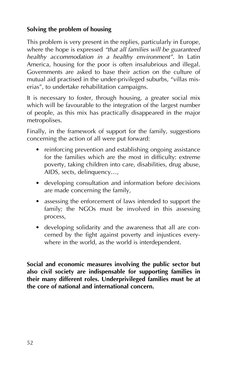### **Solving the problem of housing**

This problem is very present in the replies, particularly in Europe, where the hope is expressed "that all families will be guaranteed *healthy accommodation in a healthy environmentî*. In Latin America, housing for the poor is often insalubrious and illegal. Governments are asked to base their action on the culture of mutual aid practised in the under-privileged suburbs, "villas miserias", to undertake rehabilitation campaigns.

It is necessary to foster, through housing, a greater social mix which will be favourable to the integration of the largest number of people, as this mix has practically disappeared in the major metropolises.

Finally, in the framework of support for the family, suggestions concerning the action of all were put forward:

- reinforcing prevention and establishing ongoing assistance for the families which are the most in difficulty: extreme poverty, taking children into care, disabilities, drug abuse, AIDS, sects, delinquency...,
- developing consultation and information before decisions are made concerning the family,
- assessing the enforcement of laws intended to support the family; the NGOs must be involved in this assessing process,
- developing solidarity and the awareness that all are concerned by the fight against poverty and injustices everywhere in the world, as the world is interdependent.

**Social and economic measures involving the public sector but also civil society are indispensable for supporting families in their many different roles. Underprivileged families must be at the core of national and international concern.**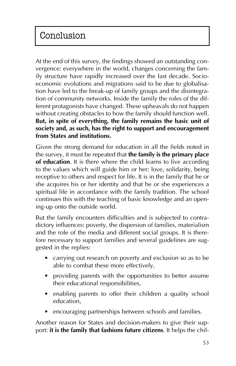At the end of this survey, the findings showed an outstanding convergence: everywhere in the world, changes concerning the family structure have rapidly increased over the last decade. Socioeconomic evolutions and migrations said to be due to globalisation have led to the break-up of family groups and the disintegration of community networks. Inside the family the roles of the different protagonists have changed. These upheavals do not happen without creating obstacles to how the family should function well. **But, in spite of everything, the family remains the basic unit of society and, as such, has the right to support and encouragement from States and institutions.**

Given the strong demand for education in all the fields noted in the survey, it must be repeated that **the family is the primary place of education**. It is there where the child learns to live according to the values which will guide him or her: love, solidarity, being receptive to others and respect for life. It is in the family that he or she acquires his or her identity and that he or she experiences a spiritual life in accordance with the family tradition. The school continues this with the teaching of basic knowledge and an opening-up onto the outside world.

But the family encounters difficulties and is subjected to contradictory influences: poverty, the dispersion of families, materialism and the role of the media and different social groups. It is therefore necessary to support families and several guidelines are suggested in the replies:

- carrying out research on poverty and exclusion so as to be able to combat these more effectively,
- providing parents with the opportunities to better assume their educational responsibilities,
- enabling parents to offer their children a quality school education,
- encouraging partnerships between schools and families.

Another reason for States and decision-makers to give their support: **it is the family that fashions future citizens**. It helps the chil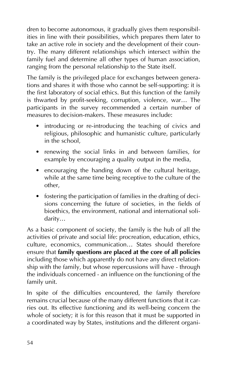dren to become autonomous, it gradually gives them responsibilities in line with their possibilities, which prepares them later to take an active role in society and the development of their country. The many different relationships which intersect within the family fuel and determine all other types of human association, ranging from the personal relationship to the State itself.

The family is the privileged place for exchanges between generations and shares it with those who cannot be self-supporting: it is the first laboratory of social ethics. But this function of the family is thwarted by profit-seeking, corruption, violence, war... The participants in the survey recommended a certain number of measures to decision-makers. These measures include:

- introducing or re-introducing the teaching of civics and religious, philosophic and humanistic culture, particularly in the school,
- renewing the social links in and between families, for example by encouraging a quality output in the media,
- encouraging the handing down of the cultural heritage, while at the same time being receptive to the culture of the other,
- $\bullet$  fostering the participation of families in the drafting of decisions concerning the future of societies, in the fields of bioethics, the environment, national and international solidarity...

As a basic component of society, the family is the hub of all the activities of private and social life: procreation, education, ethics, culture, economics, communication... States should therefore ensure that **family questions are placed at the core of all policies** including those which apparently do not have any direct relationship with the family, but whose repercussions will have - through the individuals concerned - an influence on the functioning of the family unit.

In spite of the difficulties encountered, the family therefore remains crucial because of the many different functions that it carries out. Its effective functioning and its well-being concern the whole of society; it is for this reason that it must be supported in a coordinated way by States, institutions and the different organi-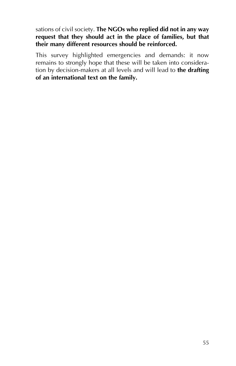#### sations of civil society. **The NGOs who replied did not in any way request that they should act in the place of families, but that their many different resources should be reinforced.**

This survey highlighted emergencies and demands: it now remains to strongly hope that these will be taken into consideration by decision-makers at all levels and will lead to **the drafting of an international text on the family.**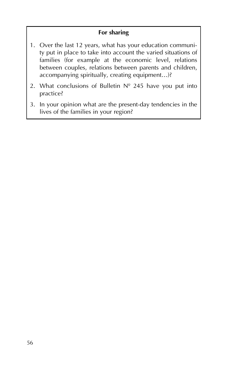### **For sharing**

- 1. Over the last 12 years, what has your education community put in place to take into account the varied situations of families (for example at the economic level, relations between couples, relations between parents and children, accompanying spiritually, creating equipment...)?
- 2. What conclusions of Bulletin  $N^{\circ}$  245 have you put into practice?
- 3. In your opinion what are the present-day tendencies in the lives of the families in your region?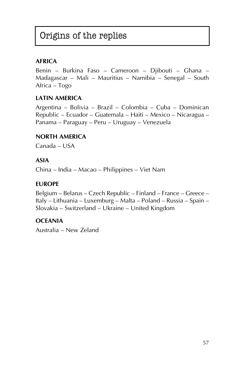### Origins of the replies

### **AFRICA**

Benin - Burkina Faso - Cameroon - Djibouti - Ghana -Madagascar – Mali – Mauritius – Namibia – Senegal – South Africa – Togo

#### **LATIN AMERICA**

Argentina – Bolivia – Brazil – Colombia – Cuba – Dominican Republic – Ecuador – Guatemala – Haiti – Mexico – Nicaragua – Panama – Paraguay – Peru – Uruguay – Venezuela

#### **NORTH AMERICA**

Canada - USA

#### **ASIA**

China – India – Macao – Philippines – Viet Nam

#### **EUROPE**

Belgium – Belarus – Czech Republic – Finland – France – Greece – Italy – Lithuania – Luxemburg – Malta – Poland – Russia – Spain – Slovakia – Switzerland – Ukraine – United Kingdom

#### **OCEANIA**

Australia – New Zeland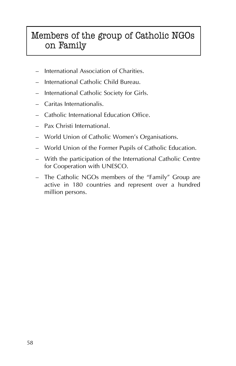### Members of the group of Catholic NGOs on Family

- International Association of Charities.
- ñ International Catholic Child Bureau.
- $-$  International Catholic Society for Girls.
- $-$  Caritas Internationalis.
- Catholic International Education Office.
- Pax Christi International.
- World Union of Catholic Women's Organisations.
- World Union of the Former Pupils of Catholic Education.
- With the participation of the International Catholic Centre for Cooperation with UNESCO.
- The Catholic NGOs members of the "Family" Group are active in 180 countries and represent over a hundred million persons.